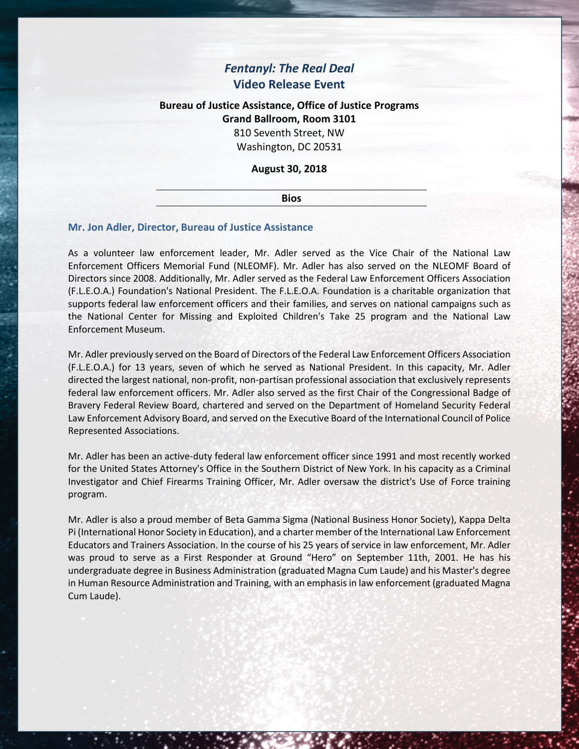# *Fentanyl: The Real Deal* **Video Release Event**

## **Bureau of Justice Assistance, Office of Justice Programs Grand Ballroom, Room 3101**

810 Seventh Street, NW Washington, DC 20531

### **August 30, 2018**

#### **Bios**

### **Mr. Jon Adler, Director, Bureau of Justice Assistance**

As a volunteer law enforcement leader, Mr. Adler served as the Vice Chair of the National Law Enforcement Officers Memorial Fund (NLEOMF). Mr. Adler has also served on the NLEOMF Board of Directors since 2008. Additionally, Mr. Adler served as the Federal Law Enforcement Officers Association (F.L.E.O.A.) Foundation's National President. The F.L.E.O.A. Foundation is a charitable organization that supports federal law enforcement officers and their families, and serves on national campaigns such as the National Center for Missing and Exploited Children's Take 25 program and the National Law Enforcement Museum.

Mr. Adler previously served on the Board of Directors of the Federal Law Enforcement Officers Association (F.L.E.O.A.) for 13 years, seven of which he served as National President. In this capacity, Mr. Adler directed the largest national, non-profit, non-partisan professional association that exclusively represents federal law enforcement officers. Mr. Adler also served as the first Chair of the Congressional Badge of Bravery Federal Review Board, chartered and served on the Department of Homeland Security Federal Law Enforcement Advisory Board, and served on the Executive Board of the International Council of Police Represented Associations.

Mr. Adler has been an active-duty federal law enforcement officer since 1991 and most recently worked for the United States Attorney's Office in the Southern District of New York. In his capacity as a Criminal Investigator and Chief Firearms Training Officer, Mr. Adler oversaw the district's Use of Force training program.

Mr. Adler is also a proud member of Beta Gamma Sigma (National Business Honor Society), Kappa Delta Pi (International Honor Society in Education), and a charter member of the International Law Enforcement Educators and Trainers Association. In the course of his 25 years of service in law enforcement, Mr. Adler was proud to serve as a First Responder at Ground "Hero" on September 11th, 2001. He has his undergraduate degree in Business Administration (graduated Magna Cum Laude) and his Master's degree in Human Resource Administration and Training, with an emphasis in law enforcement (graduated Magna Cum Laude).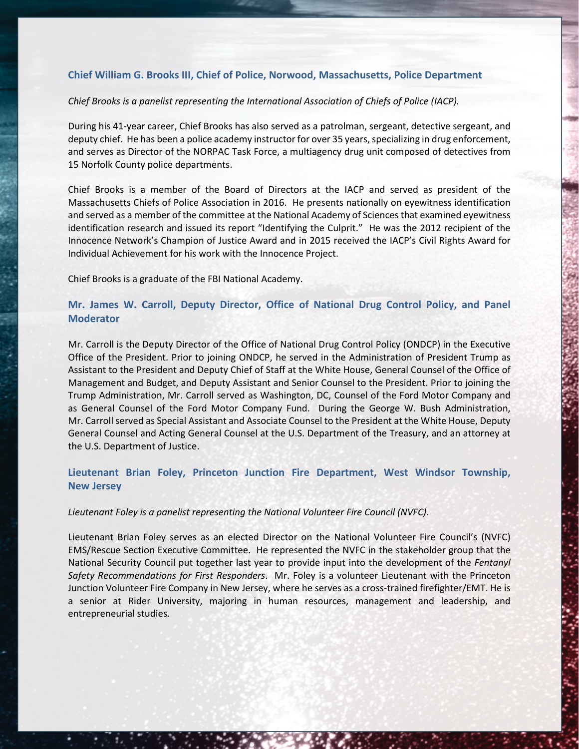### **Chief William G. Brooks III, Chief of Police, Norwood, Massachusetts, Police Department**

### *Chief Brooks is a panelist representing the International Association of Chiefs of Police (IACP).*

During his 41-year career, Chief Brooks has also served as a patrolman, sergeant, detective sergeant, and deputy chief. He has been a police academy instructor for over 35 years, specializing in drug enforcement, and serves as Director of the NORPAC Task Force, a multiagency drug unit composed of detectives from 15 Norfolk County police departments.

Chief Brooks is a member of the Board of Directors at the IACP and served as president of the Massachusetts Chiefs of Police Association in 2016. He presents nationally on eyewitness identification and served as a member of the committee at the National Academy of Sciences that examined eyewitness identification research and issued its report "Identifying the Culprit." He was the 2012 recipient of the Innocence Network's Champion of Justice Award and in 2015 received the IACP's Civil Rights Award for Individual Achievement for his work with the Innocence Project.

Chief Brooks is a graduate of the FBI National Academy.

### **Mr. James W. Carroll, Deputy Director, Office of National Drug Control Policy, and Panel Moderator**

Mr. Carroll is the Deputy Director of the Office of National Drug Control Policy (ONDCP) in the Executive Office of the President. Prior to joining ONDCP, he served in the Administration of President Trump as Assistant to the President and Deputy Chief of Staff at the White House, General Counsel of the Office of Management and Budget, and Deputy Assistant and Senior Counsel to the President. Prior to joining the Trump Administration, Mr. Carroll served as Washington, DC, Counsel of the Ford Motor Company and as General Counsel of the Ford Motor Company Fund. During the George W. Bush Administration, Mr. Carroll served as Special Assistant and Associate Counsel to the President at the White House, Deputy General Counsel and Acting General Counsel at the U.S. Department of the Treasury, and an attorney at the U.S. Department of Justice.

### **Lieutenant Brian Foley, Princeton Junction Fire Department, West Windsor Township, New Jersey**

#### *Lieutenant Foley is a panelist representing the National Volunteer Fire Council (NVFC).*

Lieutenant Brian Foley serves as an elected Director on the National Volunteer Fire Council's (NVFC) EMS/Rescue Section Executive Committee. He represented the NVFC in the stakeholder group that the National Security Council put together last year to provide input into the development of the *Fentanyl Safety Recommendations for First Responders*. Mr. Foley is a volunteer Lieutenant with the Princeton Junction Volunteer Fire Company in New Jersey, where he serves as a cross-trained firefighter/EMT. He is a senior at Rider University, majoring in human resources, management and leadership, and entrepreneurial studies.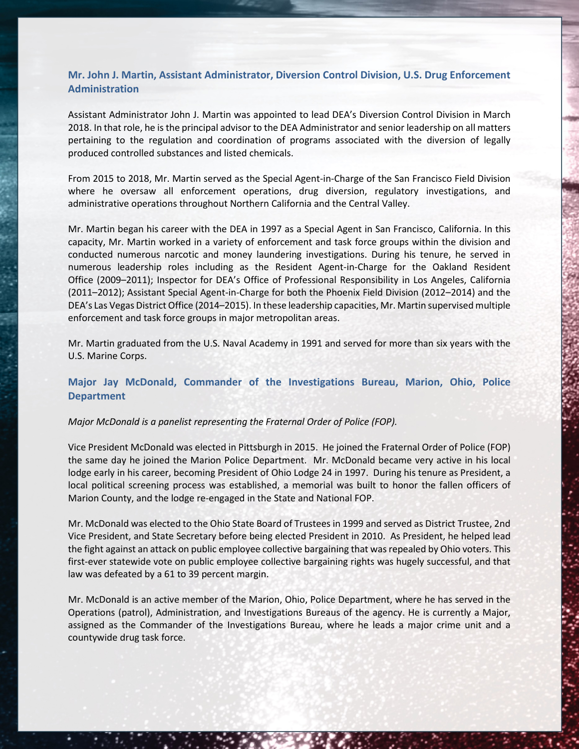### **Mr. John J. Martin, Assistant Administrator, Diversion Control Division, U.S. Drug Enforcement Administration**

Assistant Administrator John J. Martin was appointed to lead DEA's Diversion Control Division in March 2018. In that role, he is the principal advisor to the DEA Administrator and senior leadership on all matters pertaining to the regulation and coordination of programs associated with the diversion of legally produced controlled substances and listed chemicals.

From 2015 to 2018, Mr. Martin served as the Special Agent-in-Charge of the San Francisco Field Division where he oversaw all enforcement operations, drug diversion, regulatory investigations, and administrative operations throughout Northern California and the Central Valley.

Mr. Martin began his career with the DEA in 1997 as a Special Agent in San Francisco, California. In this capacity, Mr. Martin worked in a variety of enforcement and task force groups within the division and conducted numerous narcotic and money laundering investigations. During his tenure, he served in numerous leadership roles including as the Resident Agent-in-Charge for the Oakland Resident Office (2009–2011); Inspector for DEA's Office of Professional Responsibility in Los Angeles, California (2011–2012); Assistant Special Agent-in-Charge for both the Phoenix Field Division (2012–2014) and the DEA's Las Vegas District Office (2014–2015). In these leadership capacities, Mr. Martin supervised multiple enforcement and task force groups in major metropolitan areas.

Mr. Martin graduated from the U.S. Naval Academy in 1991 and served for more than six years with the U.S. Marine Corps.

### **Major Jay McDonald, Commander of the Investigations Bureau, Marion, Ohio, Police Department**

#### *Major McDonald is a panelist representing the Fraternal Order of Police (FOP).*

Vice President McDonald was elected in Pittsburgh in 2015. He joined the Fraternal Order of Police (FOP) the same day he joined the Marion Police Department. Mr. McDonald became very active in his local lodge early in his career, becoming President of Ohio Lodge 24 in 1997. During his tenure as President, a local political screening process was established, a memorial was built to honor the fallen officers of Marion County, and the lodge re-engaged in the State and National FOP.

Mr. McDonald was elected to the Ohio State Board of Trustees in 1999 and served as District Trustee, 2nd Vice President, and State Secretary before being elected President in 2010. As President, he helped lead the fight against an attack on public employee collective bargaining that was repealed by Ohio voters. This first-ever statewide vote on public employee collective bargaining rights was hugely successful, and that law was defeated by a 61 to 39 percent margin.

Mr. McDonald is an active member of the Marion, Ohio, Police Department, where he has served in the Operations (patrol), Administration, and Investigations Bureaus of the agency. He is currently a Major, assigned as the Commander of the Investigations Bureau, where he leads a major crime unit and a countywide drug task force.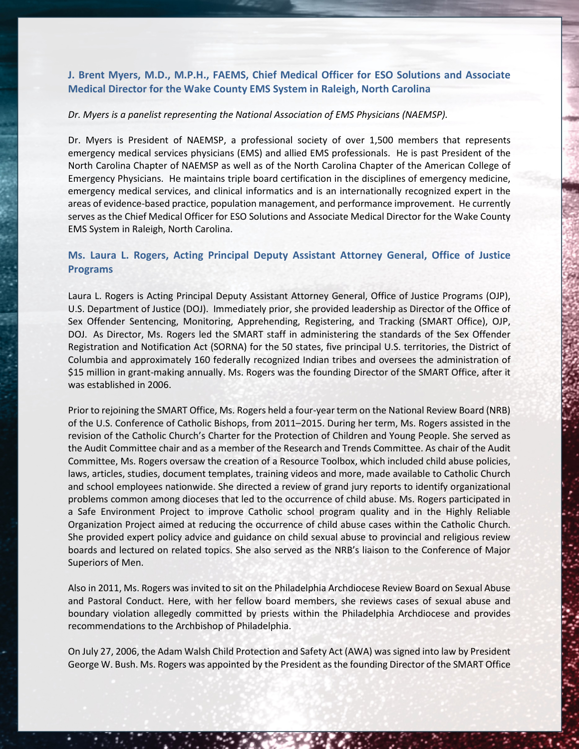### **J. Brent Myers, M.D., M.P.H., FAEMS, Chief Medical Officer for ESO Solutions and Associate Medical Director for the Wake County EMS System in Raleigh, North Carolina**

### *Dr. Myers is a panelist representing the National Association of EMS Physicians (NAEMSP).*

Dr. Myers is President of NAEMSP, a professional society of over 1,500 members that represents emergency medical services physicians (EMS) and allied EMS professionals. He is past President of the North Carolina Chapter of NAEMSP as well as of the North Carolina Chapter of the American College of Emergency Physicians. He maintains triple board certification in the disciplines of emergency medicine, emergency medical services, and clinical informatics and is an internationally recognized expert in the areas of evidence-based practice, population management, and performance improvement. He currently serves as the Chief Medical Officer for ESO Solutions and Associate Medical Director for the Wake County EMS System in Raleigh, North Carolina.

### **Ms. Laura L. Rogers, Acting Principal Deputy Assistant Attorney General, Office of Justice Programs**

Laura L. Rogers is Acting Principal Deputy Assistant Attorney General, Office of Justice Programs (OJP), U.S. Department of Justice (DOJ). Immediately prior, she provided leadership as Director of the Office of Sex Offender Sentencing, Monitoring, Apprehending, Registering, and Tracking (SMART Office), OJP, DOJ. As Director, Ms. Rogers led the SMART staff in administering the standards of the Sex Offender Registration and Notification Act (SORNA) for the 50 states, five principal U.S. territories, the District of Columbia and approximately 160 federally recognized Indian tribes and oversees the administration of \$15 million in grant-making annually. Ms. Rogers was the founding Director of the SMART Office, after it was established in 2006.

Prior to rejoining the SMART Office, Ms. Rogers held a four-year term on the National Review Board (NRB) of the U.S. Conference of Catholic Bishops, from 2011–2015. During her term, Ms. Rogers assisted in the revision of the Catholic Church's Charter for the Protection of Children and Young People. She served as the Audit Committee chair and as a member of the Research and Trends Committee. As chair of the Audit Committee, Ms. Rogers oversaw the creation of a Resource Toolbox, which included child abuse policies, laws, articles, studies, document templates, training videos and more, made available to Catholic Church and school employees nationwide. She directed a review of grand jury reports to identify organizational problems common among dioceses that led to the occurrence of child abuse. Ms. Rogers participated in a Safe Environment Project to improve Catholic school program quality and in the Highly Reliable Organization Project aimed at reducing the occurrence of child abuse cases within the Catholic Church. She provided expert policy advice and guidance on child sexual abuse to provincial and religious review boards and lectured on related topics. She also served as the NRB's liaison to the Conference of Major Superiors of Men.

Also in 2011, Ms. Rogers was invited to sit on the Philadelphia Archdiocese Review Board on Sexual Abuse and Pastoral Conduct. Here, with her fellow board members, she reviews cases of sexual abuse and boundary violation allegedly committed by priests within the Philadelphia Archdiocese and provides recommendations to the Archbishop of Philadelphia.

On July 27, 2006, the Adam Walsh Child Protection and Safety Act (AWA) was signed into law by President George W. Bush. Ms. Rogers was appointed by the President as the founding Director of the SMART Office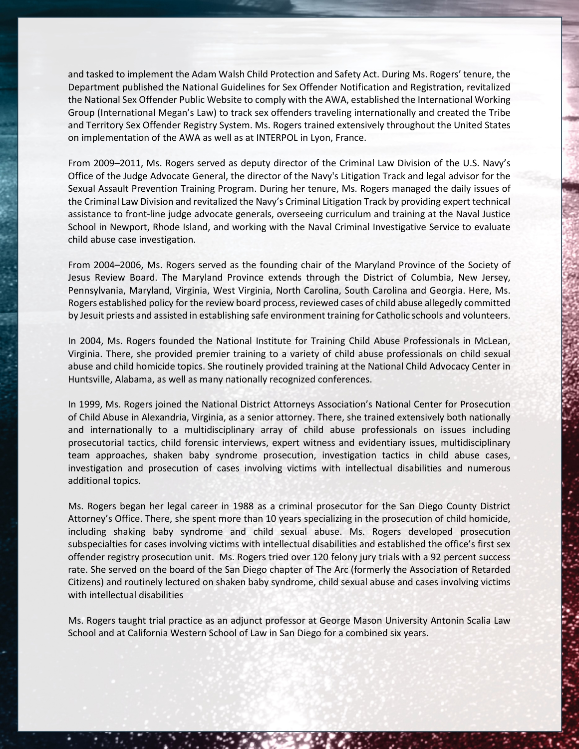and tasked to implement the Adam Walsh Child Protection and Safety Act. During Ms. Rogers' tenure, the Department published the National Guidelines for Sex Offender Notification and Registration, revitalized the National Sex Offender Public Website to comply with the AWA, established the International Working Group (International Megan's Law) to track sex offenders traveling internationally and created the Tribe and Territory Sex Offender Registry System. Ms. Rogers trained extensively throughout the United States on implementation of the AWA as well as at INTERPOL in Lyon, France.

From 2009–2011, Ms. Rogers served as deputy director of the Criminal Law Division of the U.S. Navy's Office of the Judge Advocate General, the director of the Navy's Litigation Track and legal advisor for the Sexual Assault Prevention Training Program. During her tenure, Ms. Rogers managed the daily issues of the Criminal Law Division and revitalized the Navy's Criminal Litigation Track by providing expert technical assistance to front-line judge advocate generals, overseeing curriculum and training at the Naval Justice School in Newport, Rhode Island, and working with the Naval Criminal Investigative Service to evaluate child abuse case investigation.

From 2004–2006, Ms. Rogers served as the founding chair of the Maryland Province of the Society of Jesus Review Board. The Maryland Province extends through the District of Columbia, New Jersey, Pennsylvania, Maryland, Virginia, West Virginia, North Carolina, South Carolina and Georgia. Here, Ms. Rogers established policy for the review board process, reviewed cases of child abuse allegedly committed by Jesuit priests and assisted in establishing safe environment training for Catholic schools and volunteers.

In 2004, Ms. Rogers founded the National Institute for Training Child Abuse Professionals in McLean, Virginia. There, she provided premier training to a variety of child abuse professionals on child sexual abuse and child homicide topics. She routinely provided training at the National Child Advocacy Center in Huntsville, Alabama, as well as many nationally recognized conferences.

In 1999, Ms. Rogers joined the National District Attorneys Association's National Center for Prosecution of Child Abuse in Alexandria, Virginia, as a senior attorney. There, she trained extensively both nationally and internationally to a multidisciplinary array of child abuse professionals on issues including prosecutorial tactics, child forensic interviews, expert witness and evidentiary issues, multidisciplinary team approaches, shaken baby syndrome prosecution, investigation tactics in child abuse cases, investigation and prosecution of cases involving victims with intellectual disabilities and numerous additional topics.

Ms. Rogers began her legal career in 1988 as a criminal prosecutor for the San Diego County District Attorney's Office. There, she spent more than 10 years specializing in the prosecution of child homicide, including shaking baby syndrome and child sexual abuse. Ms. Rogers developed prosecution subspecialties for cases involving victims with intellectual disabilities and established the office's first sex offender registry prosecution unit. Ms. Rogers tried over 120 felony jury trials with a 92 percent success rate. She served on the board of the San Diego chapter of The Arc (formerly the Association of Retarded Citizens) and routinely lectured on shaken baby syndrome, child sexual abuse and cases involving victims with intellectual disabilities

Ms. Rogers taught trial practice as an adjunct professor at George Mason University Antonin Scalia Law School and at California Western School of Law in San Diego for a combined six years.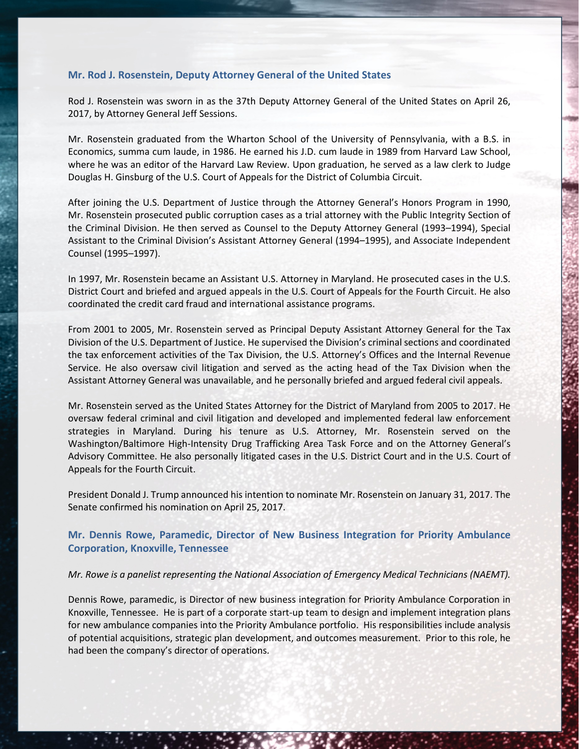### **Mr. Rod J. Rosenstein, Deputy Attorney General of the United States**

Rod J. Rosenstein was sworn in as the 37th Deputy Attorney General of the United States on April 26, 2017, by Attorney General Jeff Sessions.

Mr. Rosenstein graduated from the Wharton School of the University of Pennsylvania, with a B.S. in Economics, summa cum laude, in 1986. He earned his J.D. cum laude in 1989 from Harvard Law School, where he was an editor of the Harvard Law Review. Upon graduation, he served as a law clerk to Judge Douglas H. Ginsburg of the U.S. Court of Appeals for the District of Columbia Circuit.

After joining the U.S. Department of Justice through the Attorney General's Honors Program in 1990, Mr. Rosenstein prosecuted public corruption cases as a trial attorney with the Public Integrity Section of the Criminal Division. He then served as Counsel to the Deputy Attorney General (1993–1994), Special Assistant to the Criminal Division's Assistant Attorney General (1994–1995), and Associate Independent Counsel (1995–1997).

In 1997, Mr. Rosenstein became an Assistant U.S. Attorney in Maryland. He prosecuted cases in the U.S. District Court and briefed and argued appeals in the U.S. Court of Appeals for the Fourth Circuit. He also coordinated the credit card fraud and international assistance programs.

From 2001 to 2005, Mr. Rosenstein served as Principal Deputy Assistant Attorney General for the Tax Division of the U.S. Department of Justice. He supervised the Division's criminal sections and coordinated the tax enforcement activities of the Tax Division, the U.S. Attorney's Offices and the Internal Revenue Service. He also oversaw civil litigation and served as the acting head of the Tax Division when the Assistant Attorney General was unavailable, and he personally briefed and argued federal civil appeals.

Mr. Rosenstein served as the United States Attorney for the District of Maryland from 2005 to 2017. He oversaw federal criminal and civil litigation and developed and implemented federal law enforcement strategies in Maryland. During his tenure as U.S. Attorney, Mr. Rosenstein served on the Washington/Baltimore High-Intensity Drug Trafficking Area Task Force and on the Attorney General's Advisory Committee. He also personally litigated cases in the U.S. District Court and in the U.S. Court of Appeals for the Fourth Circuit.

President Donald J. Trump announced his intention to nominate Mr. Rosenstein on January 31, 2017. The Senate confirmed his nomination on April 25, 2017.

### **Mr. Dennis Rowe, Paramedic, Director of New Business Integration for Priority Ambulance Corporation, Knoxville, Tennessee**

#### *Mr. Rowe is a panelist representing the National Association of Emergency Medical Technicians (NAEMT).*

Dennis Rowe, paramedic, is Director of new business integration for Priority Ambulance Corporation in Knoxville, Tennessee. He is part of a corporate start-up team to design and implement integration plans for new ambulance companies into the Priority Ambulance portfolio. His responsibilities include analysis of potential acquisitions, strategic plan development, and outcomes measurement. Prior to this role, he had been the company's director of operations.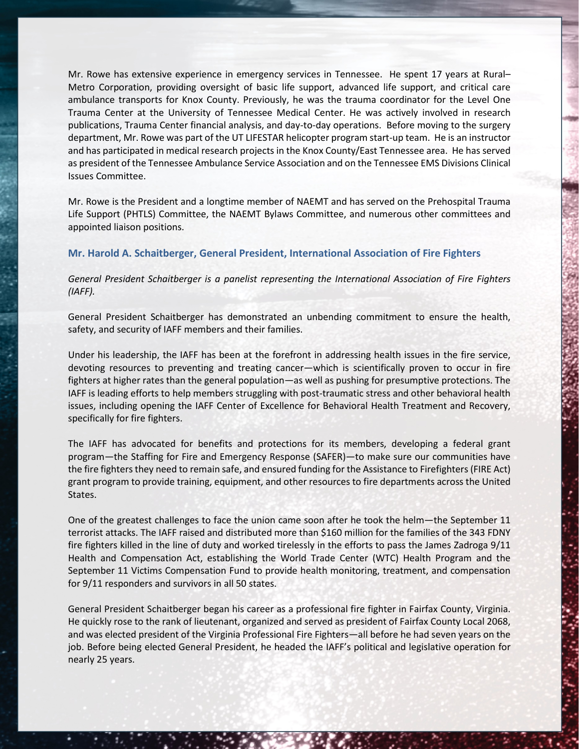Mr. Rowe has extensive experience in emergency services in Tennessee. He spent 17 years at Rural– Metro Corporation, providing oversight of basic life support, advanced life support, and critical care ambulance transports for Knox County. Previously, he was the trauma coordinator for the Level One Trauma Center at the University of Tennessee Medical Center. He was actively involved in research publications, Trauma Center financial analysis, and day-to-day operations. Before moving to the surgery department, Mr. Rowe was part of the UT LIFESTAR helicopter program start-up team. He is an instructor and has participated in medical research projects in the Knox County/East Tennessee area. He has served as president of the Tennessee Ambulance Service Association and on the Tennessee EMS Divisions Clinical Issues Committee.

Mr. Rowe is the President and a longtime member of NAEMT and has served on the Prehospital Trauma Life Support (PHTLS) Committee, the NAEMT Bylaws Committee, and numerous other committees and appointed liaison positions.

### **Mr. Harold A. Schaitberger, General President, International Association of Fire Fighters**

*General President Schaitberger is a panelist representing the International Association of Fire Fighters (IAFF).*

General President Schaitberger has demonstrated an unbending commitment to ensure the health, safety, and security of IAFF members and their families.

Under his leadership, the IAFF has been at the forefront in addressing health issues in the fire service, devoting resources to preventing and treating cancer—which is scientifically proven to occur in fire fighters at higher rates than the general population—as well as pushing for presumptive protections. The IAFF is leading efforts to help members struggling with post-traumatic stress and other behavioral health issues, including opening the IAFF Center of Excellence for Behavioral Health Treatment and Recovery, specifically for fire fighters.

The IAFF has advocated for benefits and protections for its members, developing a federal grant program—the Staffing for Fire and Emergency Response (SAFER)—to make sure our communities have the fire fighters they need to remain safe, and ensured funding for the Assistance to Firefighters (FIRE Act) grant program to provide training, equipment, and other resources to fire departments across the United States.

One of the greatest challenges to face the union came soon after he took the helm—the September 11 terrorist attacks. The IAFF raised and distributed more than \$160 million for the families of the 343 FDNY fire fighters killed in the line of duty and worked tirelessly in the efforts to pass the James Zadroga 9/11 Health and Compensation Act, establishing the World Trade Center (WTC) Health Program and the September 11 Victims Compensation Fund to provide health monitoring, treatment, and compensation for 9/11 responders and survivors in all 50 states.

General President Schaitberger began his career as a professional fire fighter in Fairfax County, Virginia. He quickly rose to the rank of lieutenant, organized and served as president of Fairfax County Local 2068, and was elected president of the Virginia Professional Fire Fighters—all before he had seven years on the job. Before being elected General President, he headed the IAFF's political and legislative operation for nearly 25 years.